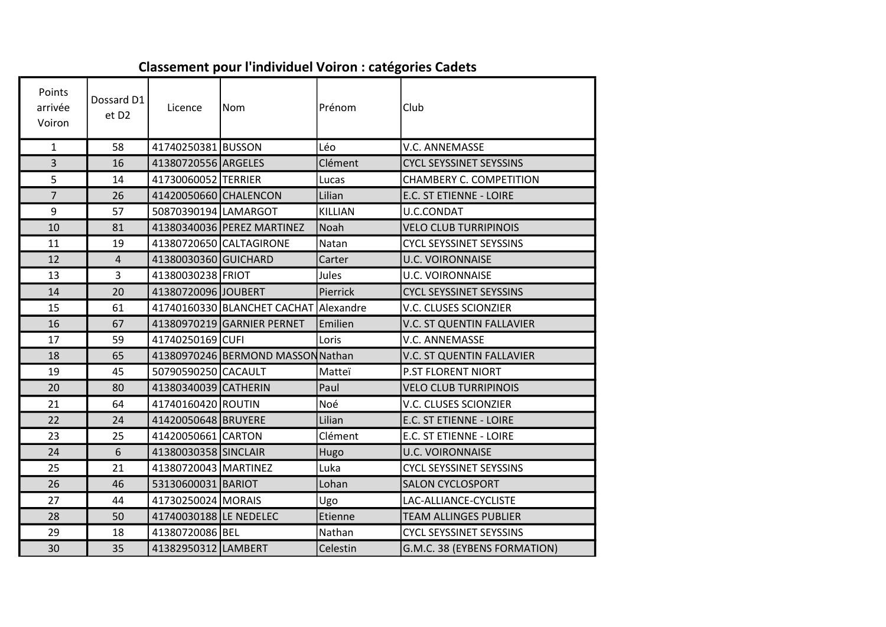| Points<br>arrivée<br>Voiron | Dossard D1<br>et D <sub>2</sub> | Licence                | Nom                               | Prénom    | Club                           |
|-----------------------------|---------------------------------|------------------------|-----------------------------------|-----------|--------------------------------|
| $\mathbf{1}$                | 58                              | 41740250381 BUSSON     |                                   | Léo       | <b>V.C. ANNEMASSE</b>          |
| $\overline{3}$              | 16                              | 41380720556 ARGELES    |                                   | Clément   | <b>CYCL SEYSSINET SEYSSINS</b> |
| 5                           | 14                              | 41730060052 TERRIER    |                                   | Lucas     | CHAMBERY C. COMPETITION        |
| $\overline{7}$              | 26                              | 41420050660 CHALENCON  |                                   | Lilian    | E.C. ST ETIENNE - LOIRE        |
| 9                           | 57                              | 50870390194 LAMARGOT   |                                   | KILLIAN   | U.C.CONDAT                     |
| 10                          | 81                              |                        | 41380340036 PEREZ MARTINEZ        | Noah      | <b>VELO CLUB TURRIPINOIS</b>   |
| 11                          | 19                              |                        | 41380720650 CALTAGIRONE           | Natan     | <b>CYCL SEYSSINET SEYSSINS</b> |
| 12                          | $\overline{4}$                  | 41380030360 GUICHARD   |                                   | Carter    | <b>U.C. VOIRONNAISE</b>        |
| 13                          | $\overline{3}$                  | 41380030238 FRIOT      |                                   | Jules     | <b>U.C. VOIRONNAISE</b>        |
| 14                          | 20                              | 41380720096 JOUBERT    |                                   | Pierrick  | <b>CYCL SEYSSINET SEYSSINS</b> |
| 15                          | 61                              |                        | 41740160330 BLANCHET CACHAT       | Alexandre | V.C. CLUSES SCIONZIER          |
| 16                          | 67                              |                        | 41380970219 GARNIER PERNET        | Emilien   | V.C. ST QUENTIN FALLAVIER      |
| 17                          | 59                              | 41740250169 CUFI       |                                   | Loris     | V.C. ANNEMASSE                 |
| 18                          | 65                              |                        | 41380970246 BERMOND MASSON Nathan |           | V.C. ST QUENTIN FALLAVIER      |
| 19                          | 45                              | 50790590250 CACAULT    |                                   | Matteï    | P.ST FLORENT NIORT             |
| 20                          | 80                              | 41380340039 CATHERIN   |                                   | Paul      | <b>VELO CLUB TURRIPINOIS</b>   |
| 21                          | 64                              | 41740160420 ROUTIN     |                                   | Noé       | V.C. CLUSES SCIONZIER          |
| 22                          | 24                              | 41420050648 BRUYERE    |                                   | Lilian    | E.C. ST ETIENNE - LOIRE        |
| 23                          | 25                              | 41420050661 CARTON     |                                   | Clément   | E.C. ST ETIENNE - LOIRE        |
| 24                          | 6                               | 41380030358 SINCLAIR   |                                   | Hugo      | <b>U.C. VOIRONNAISE</b>        |
| 25                          | 21                              | 41380720043 MARTINEZ   |                                   | Luka      | <b>CYCL SEYSSINET SEYSSINS</b> |
| 26                          | 46                              | 53130600031 BARIOT     |                                   | Lohan     | <b>SALON CYCLOSPORT</b>        |
| 27                          | 44                              | 41730250024 MORAIS     |                                   | Ugo       | LAC-ALLIANCE-CYCLISTE          |
| 28                          | 50                              | 41740030188 LE NEDELEC |                                   | Etienne   | <b>TEAM ALLINGES PUBLIER</b>   |
| 29                          | 18                              | 41380720086 BEL        |                                   | Nathan    | <b>CYCL SEYSSINET SEYSSINS</b> |
| 30                          | 35                              | 41382950312 LAMBERT    |                                   | Celestin  | G.M.C. 38 (EYBENS FORMATION)   |

## Classement pour l'individuel Voiron : catégories Cadets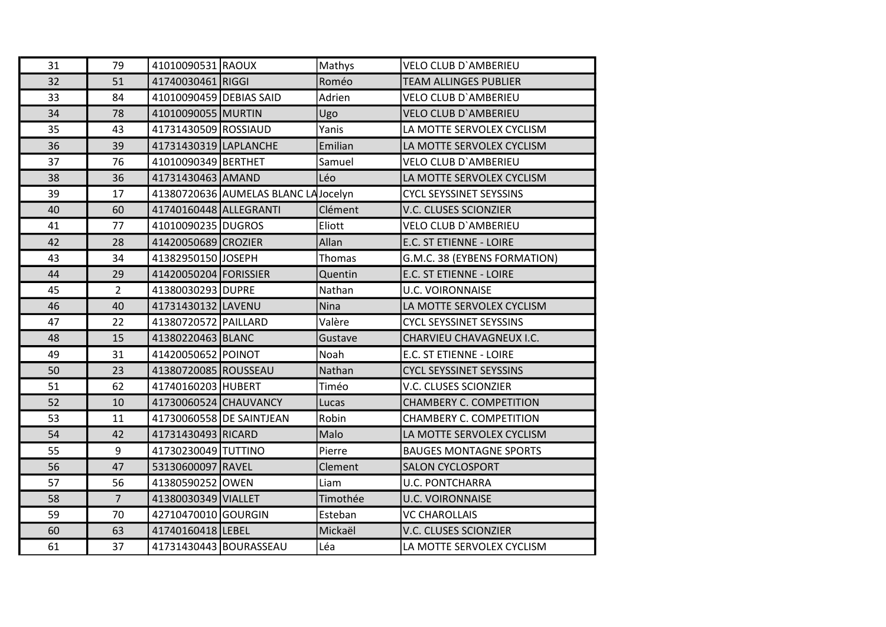| 31 | 79             | 41010090531 RAOUX       |                                     | Mathys   | <b>VELO CLUB D'AMBERIEU</b>    |
|----|----------------|-------------------------|-------------------------------------|----------|--------------------------------|
| 32 | 51             | 41740030461 RIGGI       |                                     | Roméo    | <b>TEAM ALLINGES PUBLIER</b>   |
| 33 | 84             | 41010090459 DEBIAS SAID |                                     | Adrien   | <b>VELO CLUB D'AMBERIEU</b>    |
| 34 | 78             | 41010090055 MURTIN      |                                     | Ugo      | <b>VELO CLUB D'AMBERIEU</b>    |
| 35 | 43             | 41731430509 ROSSIAUD    |                                     | Yanis    | LA MOTTE SERVOLEX CYCLISM      |
| 36 | 39             | 41731430319 LAPLANCHE   |                                     | Emilian  | LA MOTTE SERVOLEX CYCLISM      |
| 37 | 76             | 41010090349 BERTHET     |                                     | Samuel   | <b>VELO CLUB D'AMBERIEU</b>    |
| 38 | 36             | 41731430463 AMAND       |                                     | Léo      | LA MOTTE SERVOLEX CYCLISM      |
| 39 | 17             |                         | 41380720636 AUMELAS BLANC LAJocelyn |          | <b>CYCL SEYSSINET SEYSSINS</b> |
| 40 | 60             | 41740160448 ALLEGRANTI  |                                     | Clément  | V.C. CLUSES SCIONZIER          |
| 41 | 77             | 41010090235 DUGROS      |                                     | Eliott   | <b>VELO CLUB D'AMBERIEU</b>    |
| 42 | 28             | 41420050689 CROZIER     |                                     | Allan    | E.C. ST ETIENNE - LOIRE        |
| 43 | 34             | 41382950150 JOSEPH      |                                     | Thomas   | G.M.C. 38 (EYBENS FORMATION)   |
| 44 | 29             | 41420050204 FORISSIER   |                                     | Quentin  | E.C. ST ETIENNE - LOIRE        |
| 45 | $\overline{2}$ | 41380030293 DUPRE       |                                     | Nathan   | <b>U.C. VOIRONNAISE</b>        |
| 46 | 40             | 41731430132 LAVENU      |                                     | Nina     | LA MOTTE SERVOLEX CYCLISM      |
| 47 | 22             | 41380720572 PAILLARD    |                                     | Valère   | <b>CYCL SEYSSINET SEYSSINS</b> |
| 48 | 15             | 41380220463 BLANC       |                                     | Gustave  | CHARVIEU CHAVAGNEUX I.C.       |
| 49 | 31             | 41420050652 POINOT      |                                     | Noah     | E.C. ST ETIENNE - LOIRE        |
| 50 | 23             | 41380720085 ROUSSEAU    |                                     | Nathan   | <b>CYCL SEYSSINET SEYSSINS</b> |
| 51 | 62             | 41740160203 HUBERT      |                                     | Timéo    | <b>V.C. CLUSES SCIONZIER</b>   |
| 52 | 10             | 41730060524 CHAUVANCY   |                                     | Lucas    | <b>CHAMBERY C. COMPETITION</b> |
| 53 | 11             |                         | 41730060558 DE SAINTJEAN            | Robin    | CHAMBERY C. COMPETITION        |
| 54 | 42             | 41731430493 RICARD      |                                     | Malo     | LA MOTTE SERVOLEX CYCLISM      |
| 55 | 9              | 41730230049 TUTTINO     |                                     | Pierre   | <b>BAUGES MONTAGNE SPORTS</b>  |
| 56 | 47             | 53130600097 RAVEL       |                                     | Clement  | <b>SALON CYCLOSPORT</b>        |
| 57 | 56             | 41380590252 OWEN        |                                     | Liam     | <b>U.C. PONTCHARRA</b>         |
| 58 | $\overline{7}$ | 41380030349 VIALLET     |                                     | Timothée | <b>U.C. VOIRONNAISE</b>        |
| 59 | 70             | 42710470010 GOURGIN     |                                     | Esteban  | <b>VC CHAROLLAIS</b>           |
| 60 | 63             | 41740160418 LEBEL       |                                     | Mickaël  | V.C. CLUSES SCIONZIER          |
| 61 | 37             | 41731430443 BOURASSEAU  |                                     | Léa      | LA MOTTE SERVOLEX CYCLISM      |